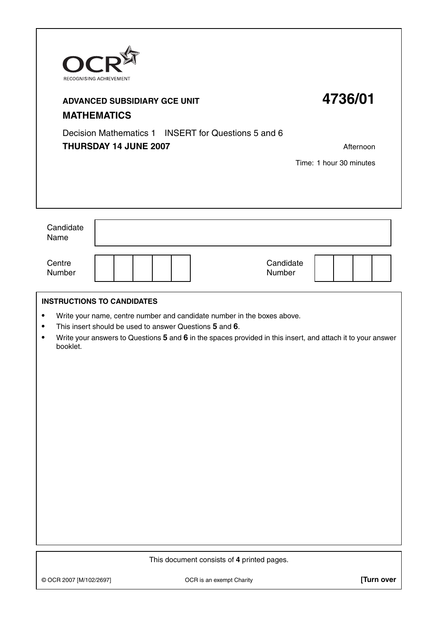| $\mathbf{O}$<br>RECOGNISING ACHIEVEMENT<br><b>ADVANCED SUBSIDIARY GCE UNIT</b><br><b>MATHEMATICS</b><br>Decision Mathematics 1 INSERT for Questions 5 and 6<br>THURSDAY 14 JUNE 2007 | 4736/01<br>Afternoon<br>Time: 1 hour 30 minutes                                                                                                                                                                                                                                        |            |  |  |  |  |  |
|--------------------------------------------------------------------------------------------------------------------------------------------------------------------------------------|----------------------------------------------------------------------------------------------------------------------------------------------------------------------------------------------------------------------------------------------------------------------------------------|------------|--|--|--|--|--|
| Candidate<br>Name                                                                                                                                                                    |                                                                                                                                                                                                                                                                                        |            |  |  |  |  |  |
| Centre<br>Number                                                                                                                                                                     | Candidate<br>Number                                                                                                                                                                                                                                                                    |            |  |  |  |  |  |
| ٠<br>$\bullet$<br>$\bullet$<br>booklet.                                                                                                                                              | <b>INSTRUCTIONS TO CANDIDATES</b><br>Write your name, centre number and candidate number in the boxes above.<br>This insert should be used to answer Questions 5 and 6.<br>Write your answers to Questions 5 and 6 in the spaces provided in this insert, and attach it to your answer |            |  |  |  |  |  |
| This document consists of 4 printed pages.                                                                                                                                           |                                                                                                                                                                                                                                                                                        |            |  |  |  |  |  |
| © OCR 2007 [M/102/2697]                                                                                                                                                              | OCR is an exempt Charity                                                                                                                                                                                                                                                               | [Turn over |  |  |  |  |  |

 $\mathbf{r}$ 

 $\overline{\phantom{a}}$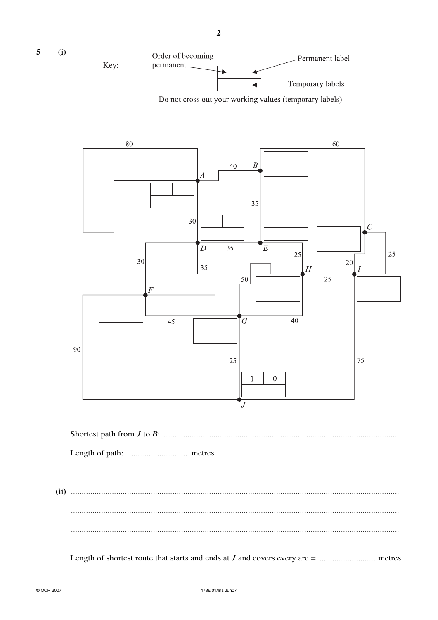

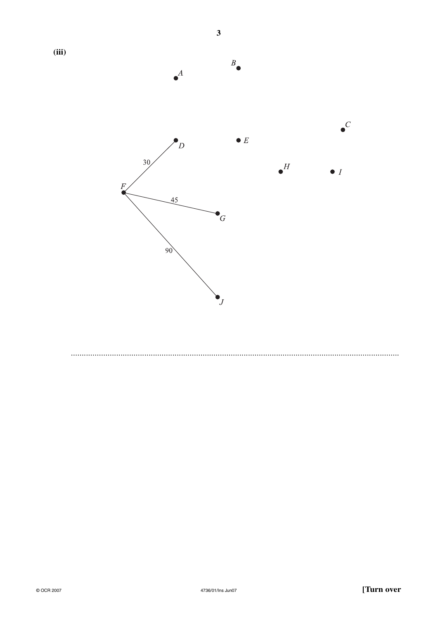

 $\overline{\mathbf{3}}$ 

 $(iii)$